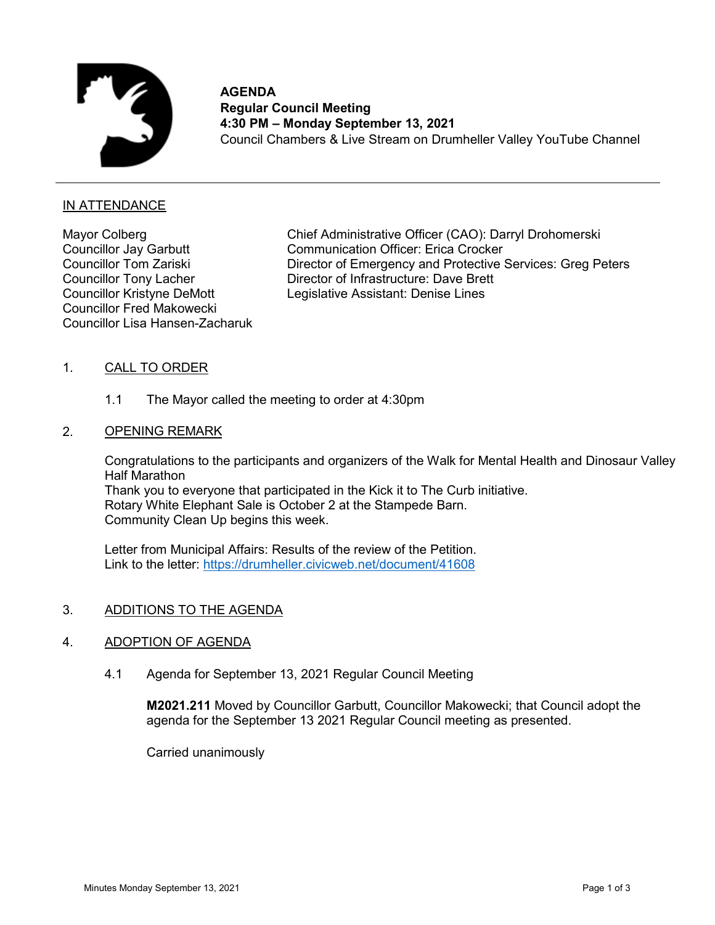

**AGENDA Regular Council Meeting 4:30 PM – Monday September 13, 2021** Council Chambers & Live Stream on Drumheller Valley YouTube Channel

# IN ATTENDANCE

Mayor Colberg Councillor Jay Garbutt Councillor Tom Zariski Councillor Tony Lacher Councillor Kristyne DeMott Councillor Fred Makowecki Councillor Lisa Hansen-Zacharuk

Chief Administrative Officer (CAO): Darryl Drohomerski Communication Officer: Erica Crocker Director of Emergency and Protective Services: Greg Peters Director of Infrastructure: Dave Brett Legislative Assistant: Denise Lines

### 1. CALL TO ORDER

1.1 The Mayor called the meeting to order at 4:30pm

### 2. OPENING REMARK

Congratulations to the participants and organizers of the Walk for Mental Health and Dinosaur Valley Half Marathon Thank you to everyone that participated in the Kick it to The Curb initiative. Rotary White Elephant Sale is October 2 at the Stampede Barn. Community Clean Up begins this week.

Letter from Municipal Affairs: Results of the review of the Petition. Link to the letter: <https://drumheller.civicweb.net/document/41608>

# 3. ADDITIONS TO THE AGENDA

# 4. ADOPTION OF AGENDA

4.1 Agenda for September 13, 2021 Regular Council Meeting

**M2021.211** Moved by Councillor Garbutt, Councillor Makowecki; that Council adopt the agenda for the September 13 2021 Regular Council meeting as presented.

Carried unanimously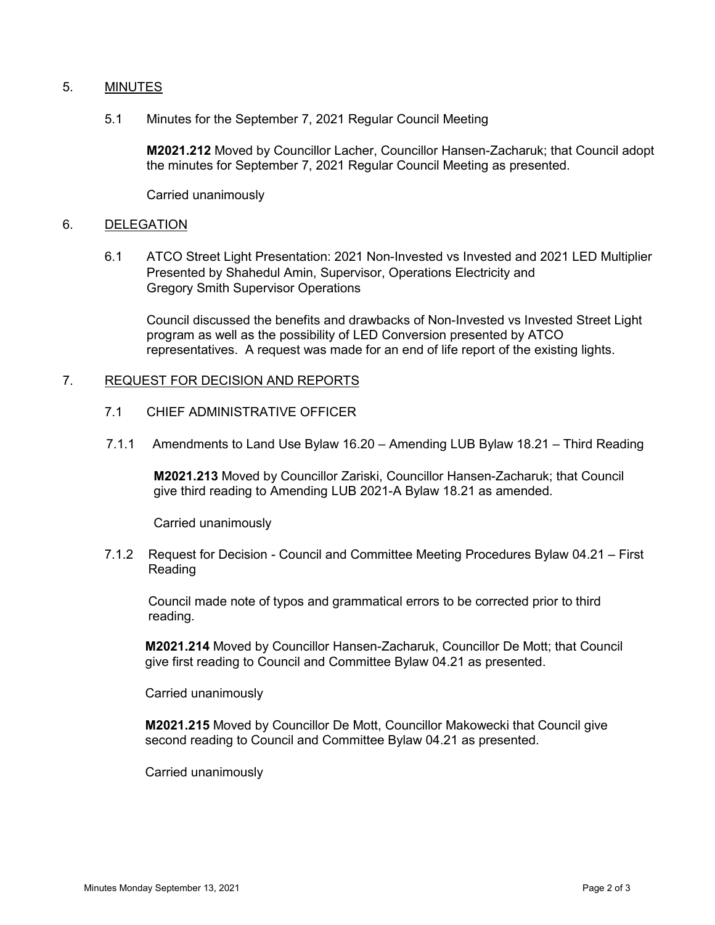# 5. MINUTES

5.1 Minutes for the September 7, 2021 Regular Council Meeting

**M2021.212** Moved by Councillor Lacher, Councillor Hansen-Zacharuk; that Council adopt the minutes for September 7, 2021 Regular Council Meeting as presented.

Carried unanimously

#### 6. DELEGATION

6.1 ATCO Street Light Presentation: 2021 Non-Invested vs Invested and 2021 LED Multiplier Presented by Shahedul Amin, Supervisor, Operations Electricity and Gregory Smith Supervisor Operations

Council discussed the benefits and drawbacks of Non-Invested vs Invested Street Light program as well as the possibility of LED Conversion presented by ATCO representatives. A request was made for an end of life report of the existing lights.

### 7. REQUEST FOR DECISION AND REPORTS

- 7.1 CHIEF ADMINISTRATIVE OFFICER
- 7.1.1 Amendments to Land Use Bylaw 16.20 Amending LUB Bylaw 18.21 Third Reading

**M2021.213** Moved by Councillor Zariski, Councillor Hansen-Zacharuk; that Council give third reading to Amending LUB 2021-A Bylaw 18.21 as amended.

Carried unanimously

7.1.2 Request for Decision - Council and Committee Meeting Procedures Bylaw 04.21 – First Reading

Council made note of typos and grammatical errors to be corrected prior to third reading.

**M2021.214** Moved by Councillor Hansen-Zacharuk, Councillor De Mott; that Council give first reading to Council and Committee Bylaw 04.21 as presented.

Carried unanimously

**M2021.215** Moved by Councillor De Mott, Councillor Makowecki that Council give second reading to Council and Committee Bylaw 04.21 as presented.

Carried unanimously